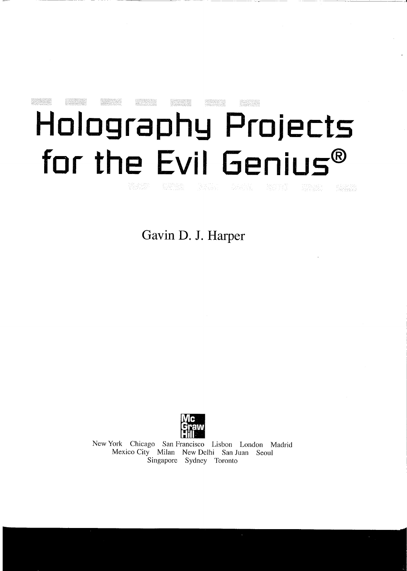## **SECRATE Beat and Holography Projects for the Evil Genius®** interation<br>Activity st Baller (1988)<br>Scheidenberg

**Gavin D. J. Harper**



New York Chicago San Francisco Lisbon London Madrid Mexico City Milan New Delhi San Juan Seoul Singapore Sydney Toronto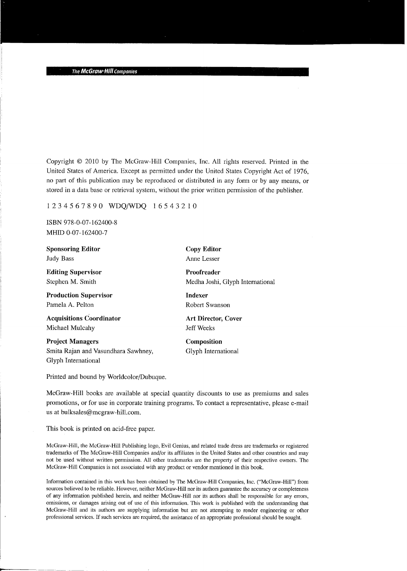Copyright © 2010 by The McGraw-Hill Companies, Inc. All rights reserved. Printed in the United States of America. Except as permitted under the United States Copyright Act of 1976, no part of this publication may be reproduced or distributed in any form or by any means, or stored in a data base or retrieval system, without the prior written permission of the publisher.

## 1234567890 WDQ/WDQ 16543210

ISBN 978-0-07-162400-8 MHID 0-07-162400-7

Glyph International

Sponsoring Editor Judy Bass Editing Supervisor Stephen M. Smith Production Supervisor Pamela A. Pelton Acquisitions Coordinator Michael Mulcahy Project Managers Smita Rajan and Vasundhara Sawhney, Copy Editor Anne Lesser Proofreader Medha Joshi, Glyph International Indexer Robert Swanson Art Director, Cover **Jeff Weeks** Composition Glyph International

Printed and bound by Worldcolor/Dubuque.

McGraw-Hill books are available at special quantity discounts to use as premiums and sales promotions, or for use in corporate training programs. To contact a representative, please e-mail us at bulksales@mcgraw-hill.com.

This book is printed on acid-free paper.

McGraw-Hill, the McGraw-Hill Publishing logo, Evil Genius, and related trade dress are trademarks or registered trademarks of The McGraw-Hill Companies and/or its affiliates in the United States and other countries and may not be used without written permission. All other trademarks are the property of their respective owners. The McGraw-Hill Companies is not associated with any product or vendor mentioned in this book.

Information contained in this work has been obtained by The McGraw-Hill Companies, Inc. ("McGraw-Hill") from sources believed to be reliable. However, neither McGraw-Hill nor its authors guarantee the accuracy or completeness of any information published herein, and neither McGraw-Hill nor its authors shall be responsible for any errors, omissions, or damages arising out of use of this information. This work is published with the understanding that McGraw-Hill and its authors are supplying information but are not attempting to render engineering or other professional services. If such services are required, the assistance of an appropriate professional should be sought.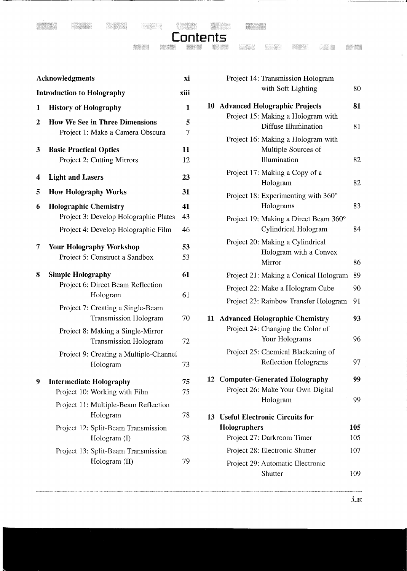| <b>Acknowledgments</b><br><b>Introduction to Holography</b> |                                                                              | xi                  | Project 14: Transmission Hologram                                         |     |
|-------------------------------------------------------------|------------------------------------------------------------------------------|---------------------|---------------------------------------------------------------------------|-----|
|                                                             |                                                                              | xiii                | with Soft Lighting                                                        |     |
| 1                                                           | <b>History of Holography</b>                                                 | $\mathbf{1}$        | 10 Advanced Holographic Projects                                          | 81  |
| 2                                                           | <b>How We See in Three Dimensions</b><br>Project 1: Make a Camera Obscura    | 5<br>$\overline{7}$ | Project 15: Making a Hologram with<br>Diffuse Illumination                | 81  |
| 3                                                           | <b>Basic Practical Optics</b><br>Project 2: Cutting Mirrors                  | 11<br>12            | Project 16: Making a Hologram with<br>Multiple Sources of<br>Illumination | 82  |
| 4                                                           | <b>Light and Lasers</b>                                                      | 23                  | Project 17: Making a Copy of a<br>Hologram                                | 82  |
| 5<br>6                                                      | <b>How Holography Works</b><br><b>Holographic Chemistry</b>                  | 31<br>41            | Project 18: Experimenting with $360^{\circ}$<br>Holograms                 | 83  |
|                                                             | Project 3: Develop Holographic Plates<br>Project 4: Develop Holographic Film | 43<br>46            | Project 19: Making a Direct Beam 360°<br>Cylindrical Hologram             | 84  |
| 7                                                           | <b>Your Holography Workshop</b><br>Project 5: Construct a Sandbox            | 53<br>53            | Project 20: Making a Cylindrical<br>Hologram with a Convex<br>Mirror      | 86  |
| 8                                                           | <b>Simple Holography</b>                                                     | 61                  | Project 21: Making a Conical Hologram                                     | 89  |
|                                                             | Project 6: Direct Beam Reflection                                            |                     | Project 22: Make a Hologram Cube                                          | 90  |
|                                                             | Hologram                                                                     | 61                  | Project 23: Rainbow Transfer Hologram                                     | 91  |
|                                                             |                                                                              |                     |                                                                           |     |
|                                                             | Project 7: Creating a Single-Beam<br>Transmission Hologram                   | 70                  | 11 Advanced Holographic Chemistry                                         | 93  |
|                                                             | Project 8: Making a Single-Mirror<br><b>Transmission Hologram</b>            | 72                  | Project 24: Changing the Color of<br>Your Holograms                       | 96  |
|                                                             | Project 9: Creating a Multiple-Channel<br>Hologram                           | 73                  | Project 25: Chemical Blackening of<br>Reflection Holograms                | 97  |
| 9                                                           | <b>Intermediate Holography</b>                                               | 75                  | <b>12 Computer-Generated Holography</b>                                   | 99  |
|                                                             | Project 10: Working with Film                                                | 75                  | Project 26: Make Your Own Digital                                         |     |
|                                                             | Project 11: Multiple-Beam Reflection                                         |                     | Hologram                                                                  | 99  |
|                                                             | Hologram                                                                     | 78                  | 13 Useful Electronic Circuits for                                         |     |
|                                                             | Project 12: Split-Beam Transmission                                          |                     | Holographers                                                              | 105 |
|                                                             | Hologram (I)                                                                 | 78                  | Project 27: Darkroom Timer                                                | 105 |
|                                                             | Project 13: Split-Beam Transmission<br>Hologram (II)                         | 79                  | Project 28: Electronic Shutter<br>Project 29: Automatic Electronic        | 107 |

**Contents** 

| wledgments                                                                   |          | Project 14: Transmission Hologram                                          |          |
|------------------------------------------------------------------------------|----------|----------------------------------------------------------------------------|----------|
| luction to Holography<br>xiii                                                |          | with Soft Lighting                                                         | 80       |
| istory of Holography                                                         |          | 10 Advanced Holographic Projects                                           | 81       |
| ow We See in Three Dimensions<br>Project 1: Make a Camera Obscura            |          | Project 15: Making a Hologram with<br>Diffuse Illumination                 | 81       |
| sic Practical Optics<br>Project 2: Cutting Mirrors                           | 11<br>12 | Project 16: Making a Hologram with<br>Multiple Sources of<br>Illumination  | 82       |
| ght and Lasers                                                               |          | Project 17: Making a Copy of a<br>Hologram                                 | 82       |
| <b>Dw Holography Works</b>                                                   |          | Project 18: Experimenting with 360°                                        |          |
| olographic Chemistry                                                         |          | Holograms                                                                  | 83       |
| Project 3: Develop Holographic Plates<br>Project 4: Develop Holographic Film | 43<br>46 | Project 19: Making a Direct Beam 360°<br>Cylindrical Hologram              | 84       |
| ur Holography Workshop<br>Project 5: Construct a Sandbox                     |          | Project 20: Making a Cylindrical<br>Hologram with a Convex<br>Mirror       | 86       |
| mple Holography<br>Project 6: Direct Beam Reflection<br>Hologram             |          | Project 21: Making a Conical Hologram                                      | 89       |
|                                                                              |          | Project 22: Make a Hologram Cube                                           | 90       |
| Project 7: Creating a Single-Beam<br>Transmission Hologram                   | 70       | Project 23: Rainbow Transfer Hologram<br>11 Advanced Holographic Chemistry | 91<br>93 |
| Project 8: Making a Single-Mirror<br><b>Transmission Hologram</b>            | 72       | Project 24: Changing the Color of<br>Your Holograms                        | 96       |
| Project 9: Creating a Multiple-Channel<br>Hologram                           | 73       | Project 25: Chemical Blackening of<br><b>Reflection Holograms</b>          | 97       |
| termediate Holography                                                        |          | <b>12 Computer-Generated Holography</b>                                    | 99       |
| Project 10: Working with Film                                                | 75       | Project 26: Make Your Own Digital                                          |          |
| Project 11: Multiple-Beam Reflection<br>Hologram                             | 78       | Hologram<br>13 Useful Electronic Circuits for                              | 99       |
| Project 12: Split-Beam Transmission                                          |          | Holographers                                                               | 105      |
| Hologram (I)                                                                 |          | Project 27: Darkroom Timer                                                 | 105      |
| Project 13: Split-Beam Transmission                                          |          | Project 28: Electronic Shutter                                             | 107      |
| Hologram (II)                                                                | 79       | Project 29: Automatic Electronic<br>Shutter                                | 109      |
|                                                                              |          |                                                                            |          |